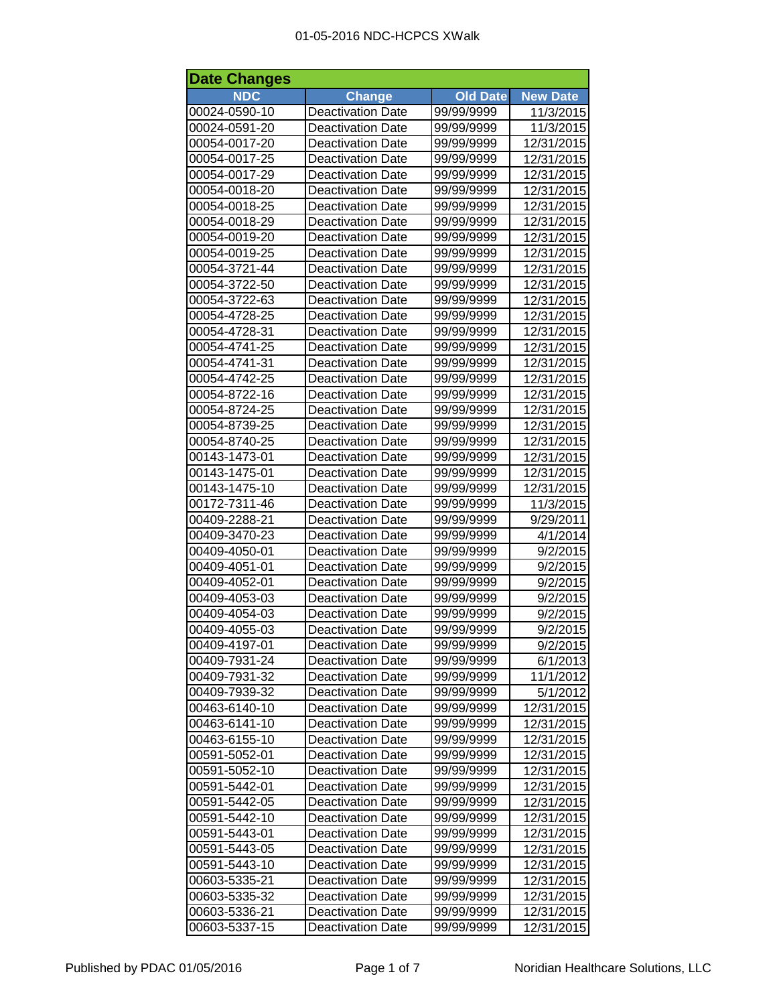| <b>Date Changes</b> |                          |                 |                 |  |
|---------------------|--------------------------|-----------------|-----------------|--|
| <b>NDC</b>          | <b>Change</b>            | <b>Old Date</b> | <b>New Date</b> |  |
| 00024-0590-10       | <b>Deactivation Date</b> | 99/99/9999      | 11/3/2015       |  |
| 00024-0591-20       | <b>Deactivation Date</b> | 99/99/9999      | 11/3/2015       |  |
| 00054-0017-20       | <b>Deactivation Date</b> | 99/99/9999      | 12/31/2015      |  |
| 00054-0017-25       | <b>Deactivation Date</b> | 99/99/9999      | 12/31/2015      |  |
| 00054-0017-29       | <b>Deactivation Date</b> | 99/99/9999      | 12/31/2015      |  |
| 00054-0018-20       | <b>Deactivation Date</b> | 99/99/9999      | 12/31/2015      |  |
| 00054-0018-25       | <b>Deactivation Date</b> | 99/99/9999      | 12/31/2015      |  |
| 00054-0018-29       | <b>Deactivation Date</b> | 99/99/9999      | 12/31/2015      |  |
| 00054-0019-20       | <b>Deactivation Date</b> | 99/99/9999      | 12/31/2015      |  |
| 00054-0019-25       | <b>Deactivation Date</b> | 99/99/9999      | 12/31/2015      |  |
| 00054-3721-44       | <b>Deactivation Date</b> | 99/99/9999      | 12/31/2015      |  |
| 00054-3722-50       | <b>Deactivation Date</b> | 99/99/9999      | 12/31/2015      |  |
| 00054-3722-63       | <b>Deactivation Date</b> | 99/99/9999      | 12/31/2015      |  |
| 00054-4728-25       | <b>Deactivation Date</b> | 99/99/9999      | 12/31/2015      |  |
| 00054-4728-31       | <b>Deactivation Date</b> | 99/99/9999      | 12/31/2015      |  |
| 00054-4741-25       | <b>Deactivation Date</b> | 99/99/9999      | 12/31/2015      |  |
| 00054-4741-31       | <b>Deactivation Date</b> | 99/99/9999      | 12/31/2015      |  |
| 00054-4742-25       | <b>Deactivation Date</b> | 99/99/9999      | 12/31/2015      |  |
| 00054-8722-16       | <b>Deactivation Date</b> | 99/99/9999      | 12/31/2015      |  |
| 00054-8724-25       | <b>Deactivation Date</b> | 99/99/9999      | 12/31/2015      |  |
| 00054-8739-25       | <b>Deactivation Date</b> | 99/99/9999      | 12/31/2015      |  |
| 00054-8740-25       | <b>Deactivation Date</b> | 99/99/9999      | 12/31/2015      |  |
| 00143-1473-01       | <b>Deactivation Date</b> | 99/99/9999      | 12/31/2015      |  |
| 00143-1475-01       | <b>Deactivation Date</b> | 99/99/9999      | 12/31/2015      |  |
| 00143-1475-10       | <b>Deactivation Date</b> | 99/99/9999      | 12/31/2015      |  |
| 00172-7311-46       | <b>Deactivation Date</b> | 99/99/9999      | 11/3/2015       |  |
| 00409-2288-21       | <b>Deactivation Date</b> | 99/99/9999      | 9/29/2011       |  |
| 00409-3470-23       | <b>Deactivation Date</b> | 99/99/9999      | 4/1/2014        |  |
| 00409-4050-01       | Deactivation Date        | 99/99/9999      | 9/2/2015        |  |
| 00409-4051-01       | <b>Deactivation Date</b> | 99/99/9999      | 9/2/2015        |  |
| 00409-4052-01       | <b>Deactivation Date</b> | 99/99/9999      | 9/2/2015        |  |
| 00409-4053-03       | <b>Deactivation Date</b> | 99/99/9999      | 9/2/2015        |  |
| 00409-4054-03       | <b>Deactivation Date</b> | 99/99/9999      | 9/2/2015        |  |
| 00409-4055-03       | <b>Deactivation Date</b> | 99/99/9999      | 9/2/2015        |  |
| 00409-4197-01       | <b>Deactivation Date</b> | 99/99/9999      | 9/2/2015        |  |
| 00409-7931-24       | <b>Deactivation Date</b> | 99/99/9999      | 6/1/2013        |  |
| 00409-7931-32       | <b>Deactivation Date</b> | 99/99/9999      | 11/1/2012       |  |
| 00409-7939-32       | <b>Deactivation Date</b> | 99/99/9999      | 5/1/2012        |  |
| 00463-6140-10       | <b>Deactivation Date</b> | 99/99/9999      | 12/31/2015      |  |
| 00463-6141-10       | <b>Deactivation Date</b> | 99/99/9999      | 12/31/2015      |  |
| 00463-6155-10       | <b>Deactivation Date</b> | 99/99/9999      | 12/31/2015      |  |
| 00591-5052-01       | <b>Deactivation Date</b> | 99/99/9999      | 12/31/2015      |  |
| 00591-5052-10       | <b>Deactivation Date</b> | 99/99/9999      | 12/31/2015      |  |
| 00591-5442-01       | <b>Deactivation Date</b> | 99/99/9999      | 12/31/2015      |  |
| 00591-5442-05       | <b>Deactivation Date</b> | 99/99/9999      | 12/31/2015      |  |
| 00591-5442-10       | <b>Deactivation Date</b> | 99/99/9999      | 12/31/2015      |  |
| 00591-5443-01       | <b>Deactivation Date</b> | 99/99/9999      | 12/31/2015      |  |
| 00591-5443-05       | <b>Deactivation Date</b> | 99/99/9999      | 12/31/2015      |  |
| 00591-5443-10       | <b>Deactivation Date</b> | 99/99/9999      | 12/31/2015      |  |
| 00603-5335-21       | <b>Deactivation Date</b> | 99/99/9999      | 12/31/2015      |  |
| 00603-5335-32       | <b>Deactivation Date</b> | 99/99/9999      | 12/31/2015      |  |
| 00603-5336-21       | Deactivation Date        | 99/99/9999      | 12/31/2015      |  |
| 00603-5337-15       | <b>Deactivation Date</b> | 99/99/9999      | 12/31/2015      |  |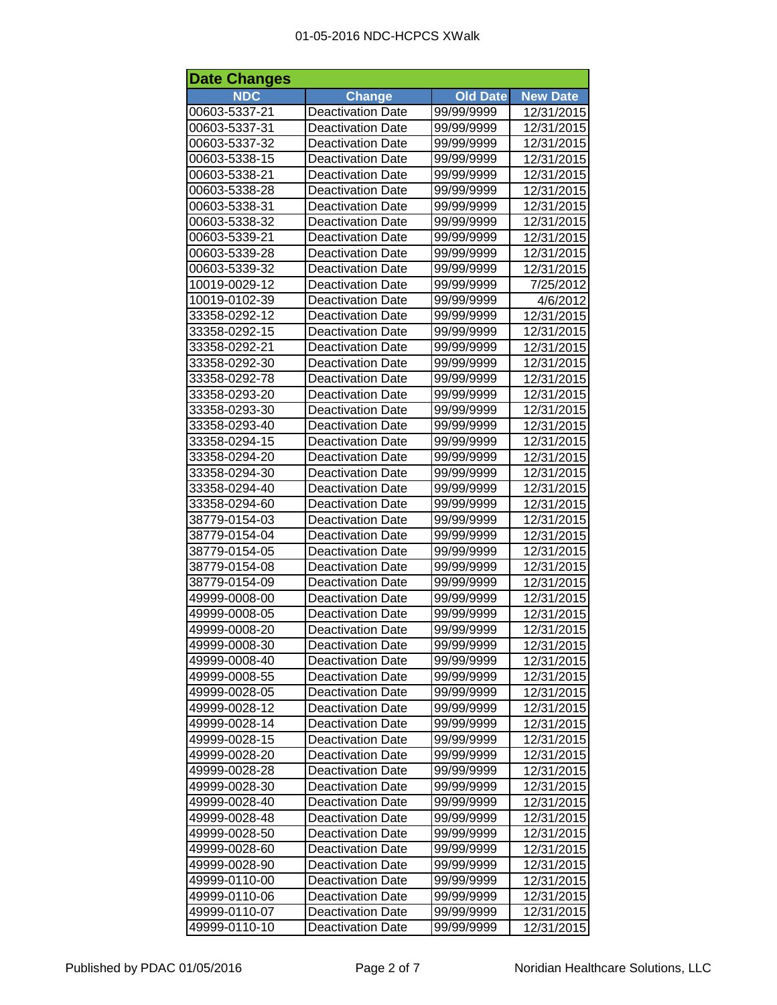| <b>Date Changes</b> |                          |                 |                 |  |
|---------------------|--------------------------|-----------------|-----------------|--|
| <b>NDC</b>          | <b>Change</b>            | <b>Old Date</b> | <b>New Date</b> |  |
| 00603-5337-21       | <b>Deactivation Date</b> | 99/99/9999      | 12/31/2015      |  |
| 00603-5337-31       | <b>Deactivation Date</b> | 99/99/9999      | 12/31/2015      |  |
| 00603-5337-32       | <b>Deactivation Date</b> | 99/99/9999      | 12/31/2015      |  |
| 00603-5338-15       | <b>Deactivation Date</b> | 99/99/9999      | 12/31/2015      |  |
| 00603-5338-21       | <b>Deactivation Date</b> | 99/99/9999      | 12/31/2015      |  |
| 00603-5338-28       | <b>Deactivation Date</b> | 99/99/9999      | 12/31/2015      |  |
| 00603-5338-31       | <b>Deactivation Date</b> | 99/99/9999      | 12/31/2015      |  |
| 00603-5338-32       | Deactivation Date        | 99/99/9999      | 12/31/2015      |  |
| 00603-5339-21       | <b>Deactivation Date</b> | 99/99/9999      | 12/31/2015      |  |
| 00603-5339-28       | <b>Deactivation Date</b> | 99/99/9999      | 12/31/2015      |  |
| 00603-5339-32       | <b>Deactivation Date</b> | 99/99/9999      | 12/31/2015      |  |
| 10019-0029-12       | <b>Deactivation Date</b> | 99/99/9999      | 7/25/2012       |  |
| 10019-0102-39       | <b>Deactivation Date</b> | 99/99/9999      | 4/6/2012        |  |
| 33358-0292-12       | <b>Deactivation Date</b> | 99/99/9999      | 12/31/2015      |  |
| 33358-0292-15       | <b>Deactivation Date</b> | 99/99/9999      | 12/31/2015      |  |
| 33358-0292-21       | <b>Deactivation Date</b> | 99/99/9999      | 12/31/2015      |  |
| 33358-0292-30       | <b>Deactivation Date</b> | 99/99/9999      | 12/31/2015      |  |
| 33358-0292-78       | <b>Deactivation Date</b> | 99/99/9999      | 12/31/2015      |  |
| 33358-0293-20       | <b>Deactivation Date</b> | 99/99/9999      | 12/31/2015      |  |
| 33358-0293-30       | <b>Deactivation Date</b> | 99/99/9999      | 12/31/2015      |  |
| 33358-0293-40       | <b>Deactivation Date</b> | 99/99/9999      | 12/31/2015      |  |
| 33358-0294-15       | <b>Deactivation Date</b> | 99/99/9999      | 12/31/2015      |  |
| 33358-0294-20       | <b>Deactivation Date</b> | 99/99/9999      | 12/31/2015      |  |
| 33358-0294-30       | <b>Deactivation Date</b> | 99/99/9999      | 12/31/2015      |  |
| 33358-0294-40       | <b>Deactivation Date</b> | 99/99/9999      | 12/31/2015      |  |
| 33358-0294-60       | <b>Deactivation Date</b> | 99/99/9999      | 12/31/2015      |  |
| 38779-0154-03       | <b>Deactivation Date</b> | 99/99/9999      | 12/31/2015      |  |
| 38779-0154-04       | <b>Deactivation Date</b> | 99/99/9999      | 12/31/2015      |  |
| 38779-0154-05       | <b>Deactivation Date</b> | 99/99/9999      | 12/31/2015      |  |
| 38779-0154-08       | <b>Deactivation Date</b> | 99/99/9999      | 12/31/2015      |  |
| 38779-0154-09       | <b>Deactivation Date</b> | 99/99/9999      | 12/31/2015      |  |
| 49999-0008-00       | <b>Deactivation Date</b> | 99/99/9999      | 12/31/2015      |  |
| 49999-0008-05       | <b>Deactivation Date</b> | 99/99/9999      | 12/31/2015      |  |
| 49999-0008-20       | <b>Deactivation Date</b> | 99/99/9999      | 12/31/2015      |  |
| 49999-0008-30       | <b>Deactivation Date</b> | 99/99/9999      | 12/31/2015      |  |
| 49999-0008-40       | <b>Deactivation Date</b> | 99/99/9999      | 12/31/2015      |  |
| 49999-0008-55       | <b>Deactivation Date</b> | 99/99/9999      | 12/31/2015      |  |
| 49999-0028-05       | <b>Deactivation Date</b> | 99/99/9999      | 12/31/2015      |  |
| 49999-0028-12       | <b>Deactivation Date</b> | 99/99/9999      | 12/31/2015      |  |
| 49999-0028-14       | <b>Deactivation Date</b> | 99/99/9999      | 12/31/2015      |  |
| 49999-0028-15       | <b>Deactivation Date</b> | 99/99/9999      | 12/31/2015      |  |
| 49999-0028-20       | <b>Deactivation Date</b> | 99/99/9999      | 12/31/2015      |  |
| 49999-0028-28       | <b>Deactivation Date</b> | 99/99/9999      | 12/31/2015      |  |
| 49999-0028-30       | <b>Deactivation Date</b> | 99/99/9999      | 12/31/2015      |  |
| 49999-0028-40       | <b>Deactivation Date</b> | 99/99/9999      | 12/31/2015      |  |
| 49999-0028-48       | <b>Deactivation Date</b> | 99/99/9999      | 12/31/2015      |  |
| 49999-0028-50       | <b>Deactivation Date</b> | 99/99/9999      | 12/31/2015      |  |
| 49999-0028-60       | <b>Deactivation Date</b> | 99/99/9999      | 12/31/2015      |  |
| 49999-0028-90       | <b>Deactivation Date</b> | 99/99/9999      | 12/31/2015      |  |
| 49999-0110-00       | <b>Deactivation Date</b> | 99/99/9999      | 12/31/2015      |  |
| 49999-0110-06       | <b>Deactivation Date</b> | 99/99/9999      | 12/31/2015      |  |
| 49999-0110-07       | <b>Deactivation Date</b> | 99/99/9999      | 12/31/2015      |  |
| 49999-0110-10       | <b>Deactivation Date</b> | 99/99/9999      | 12/31/2015      |  |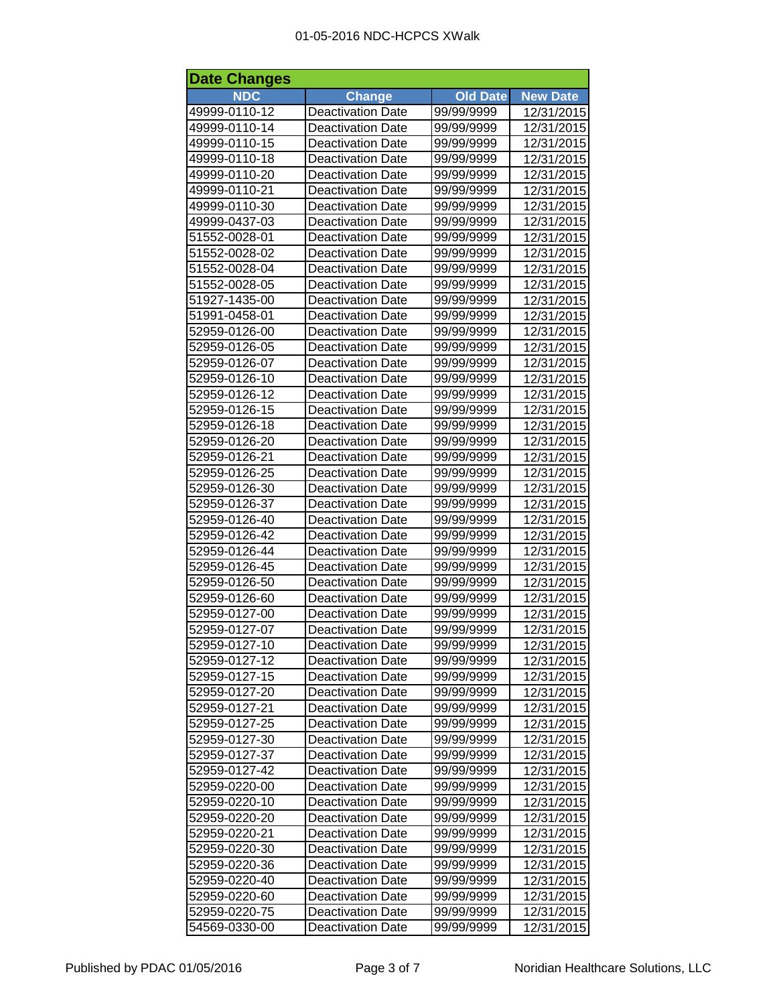| <b>Date Changes</b> |                          |                 |                 |  |
|---------------------|--------------------------|-----------------|-----------------|--|
| <b>NDC</b>          | <b>Change</b>            | <b>Old Date</b> | <b>New Date</b> |  |
| 49999-0110-12       | Deactivation Date        | 99/99/9999      | 12/31/2015      |  |
| 49999-0110-14       | <b>Deactivation Date</b> | 99/99/9999      | 12/31/2015      |  |
| 49999-0110-15       | <b>Deactivation Date</b> | 99/99/9999      | 12/31/2015      |  |
| 49999-0110-18       | <b>Deactivation Date</b> | 99/99/9999      | 12/31/2015      |  |
| 49999-0110-20       | <b>Deactivation Date</b> | 99/99/9999      | 12/31/2015      |  |
| 49999-0110-21       | <b>Deactivation Date</b> | 99/99/9999      | 12/31/2015      |  |
| 49999-0110-30       | <b>Deactivation Date</b> | 99/99/9999      | 12/31/2015      |  |
| 49999-0437-03       | <b>Deactivation Date</b> | 99/99/9999      | 12/31/2015      |  |
| 51552-0028-01       | <b>Deactivation Date</b> | 99/99/9999      | 12/31/2015      |  |
| 51552-0028-02       | <b>Deactivation Date</b> | 99/99/9999      | 12/31/2015      |  |
| 51552-0028-04       | <b>Deactivation Date</b> | 99/99/9999      | 12/31/2015      |  |
| 51552-0028-05       | <b>Deactivation Date</b> | 99/99/9999      | 12/31/2015      |  |
| 51927-1435-00       | <b>Deactivation Date</b> | 99/99/9999      | 12/31/2015      |  |
| 51991-0458-01       | <b>Deactivation Date</b> | 99/99/9999      | 12/31/2015      |  |
| 52959-0126-00       | <b>Deactivation Date</b> | 99/99/9999      | 12/31/2015      |  |
| 52959-0126-05       | <b>Deactivation Date</b> | 99/99/9999      | 12/31/2015      |  |
| 52959-0126-07       | <b>Deactivation Date</b> | 99/99/9999      | 12/31/2015      |  |
| 52959-0126-10       | <b>Deactivation Date</b> | 99/99/9999      | 12/31/2015      |  |
| 52959-0126-12       | <b>Deactivation Date</b> | 99/99/9999      | 12/31/2015      |  |
| 52959-0126-15       | <b>Deactivation Date</b> | 99/99/9999      | 12/31/2015      |  |
| 52959-0126-18       | <b>Deactivation Date</b> | 99/99/9999      | 12/31/2015      |  |
| 52959-0126-20       | <b>Deactivation Date</b> | 99/99/9999      | 12/31/2015      |  |
| 52959-0126-21       | <b>Deactivation Date</b> | 99/99/9999      | 12/31/2015      |  |
| 52959-0126-25       | <b>Deactivation Date</b> | 99/99/9999      | 12/31/2015      |  |
| 52959-0126-30       | <b>Deactivation Date</b> | 99/99/9999      | 12/31/2015      |  |
| 52959-0126-37       | <b>Deactivation Date</b> | 99/99/9999      | 12/31/2015      |  |
| 52959-0126-40       | <b>Deactivation Date</b> | 99/99/9999      | 12/31/2015      |  |
| 52959-0126-42       | <b>Deactivation Date</b> | 99/99/9999      | 12/31/2015      |  |
| 52959-0126-44       | Deactivation Date        | 99/99/9999      | 12/31/2015      |  |
| 52959-0126-45       | <b>Deactivation Date</b> | 99/99/9999      | 12/31/2015      |  |
| 52959-0126-50       | <b>Deactivation Date</b> | 99/99/9999      | 12/31/2015      |  |
| 52959-0126-60       | <b>Deactivation Date</b> | 99/99/9999      | 12/31/2015      |  |
| 52959-0127-00       | <b>Deactivation Date</b> | 99/99/9999      | 12/31/2015      |  |
| 52959-0127-07       | <b>Deactivation Date</b> | 99/99/9999      | 12/31/2015      |  |
| 52959-0127-10       | <b>Deactivation Date</b> | 99/99/9999      | 12/31/2015      |  |
| 52959-0127-12       | <b>Deactivation Date</b> | 99/99/9999      | 12/31/2015      |  |
| 52959-0127-15       | <b>Deactivation Date</b> | 99/99/9999      | 12/31/2015      |  |
| 52959-0127-20       | <b>Deactivation Date</b> | 99/99/9999      | 12/31/2015      |  |
| 52959-0127-21       | <b>Deactivation Date</b> | 99/99/9999      | 12/31/2015      |  |
| 52959-0127-25       | <b>Deactivation Date</b> | 99/99/9999      | 12/31/2015      |  |
| 52959-0127-30       | <b>Deactivation Date</b> | 99/99/9999      | 12/31/2015      |  |
| 52959-0127-37       | <b>Deactivation Date</b> | 99/99/9999      | 12/31/2015      |  |
| 52959-0127-42       | <b>Deactivation Date</b> | 99/99/9999      | 12/31/2015      |  |
| 52959-0220-00       | <b>Deactivation Date</b> | 99/99/9999      | 12/31/2015      |  |
| 52959-0220-10       | <b>Deactivation Date</b> | 99/99/9999      | 12/31/2015      |  |
| 52959-0220-20       | <b>Deactivation Date</b> | 99/99/9999      | 12/31/2015      |  |
| 52959-0220-21       | <b>Deactivation Date</b> | 99/99/9999      | 12/31/2015      |  |
| 52959-0220-30       | <b>Deactivation Date</b> | 99/99/9999      | 12/31/2015      |  |
| 52959-0220-36       | <b>Deactivation Date</b> | 99/99/9999      | 12/31/2015      |  |
| 52959-0220-40       | <b>Deactivation Date</b> | 99/99/9999      | 12/31/2015      |  |
| 52959-0220-60       | <b>Deactivation Date</b> | 99/99/9999      | 12/31/2015      |  |
| 52959-0220-75       | <b>Deactivation Date</b> | 99/99/9999      | 12/31/2015      |  |
| 54569-0330-00       | <b>Deactivation Date</b> | 99/99/9999      | 12/31/2015      |  |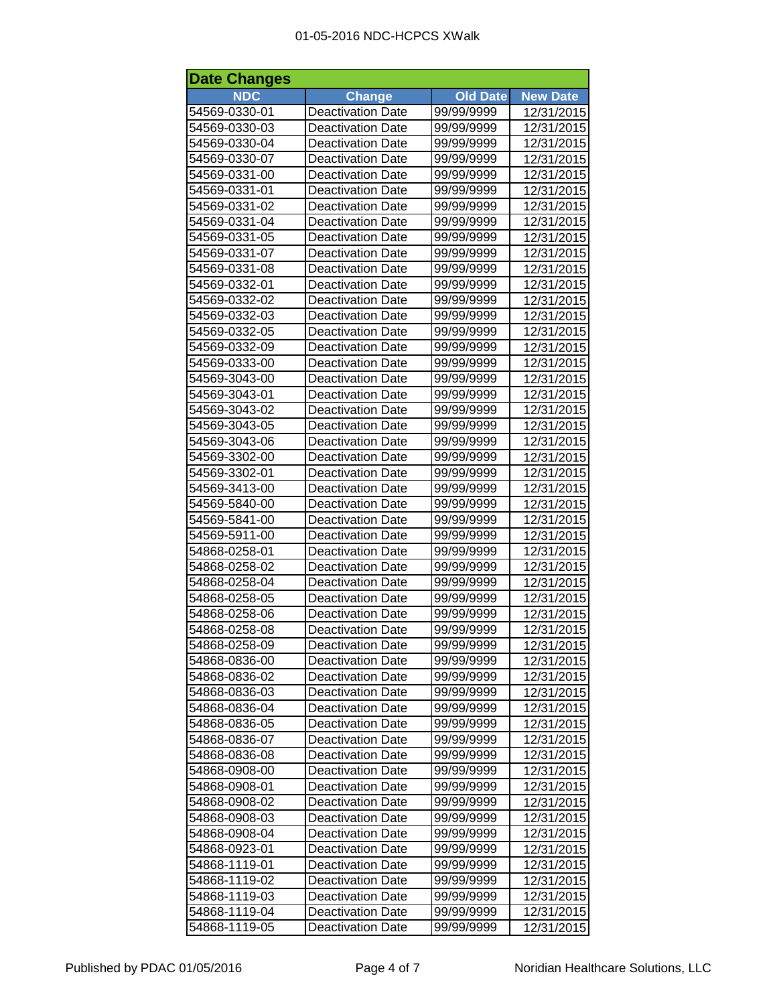| <b>Date Changes</b> |                          |                 |                 |  |
|---------------------|--------------------------|-----------------|-----------------|--|
| <b>NDC</b>          | <b>Change</b>            | <b>Old Date</b> | <b>New Date</b> |  |
| 54569-0330-01       | <b>Deactivation Date</b> | 99/99/9999      | 12/31/2015      |  |
| 54569-0330-03       | <b>Deactivation Date</b> | 99/99/9999      | 12/31/2015      |  |
| 54569-0330-04       | <b>Deactivation Date</b> | 99/99/9999      | 12/31/2015      |  |
| 54569-0330-07       | <b>Deactivation Date</b> | 99/99/9999      | 12/31/2015      |  |
| 54569-0331-00       | <b>Deactivation Date</b> | 99/99/9999      | 12/31/2015      |  |
| 54569-0331-01       | <b>Deactivation Date</b> | 99/99/9999      | 12/31/2015      |  |
| 54569-0331-02       | <b>Deactivation Date</b> | 99/99/9999      | 12/31/2015      |  |
| 54569-0331-04       | <b>Deactivation Date</b> | 99/99/9999      | 12/31/2015      |  |
| 54569-0331-05       | <b>Deactivation Date</b> | 99/99/9999      | 12/31/2015      |  |
| 54569-0331-07       | <b>Deactivation Date</b> | 99/99/9999      | 12/31/2015      |  |
| 54569-0331-08       | <b>Deactivation Date</b> | 99/99/9999      | 12/31/2015      |  |
| 54569-0332-01       | <b>Deactivation Date</b> | 99/99/9999      | 12/31/2015      |  |
| 54569-0332-02       | <b>Deactivation Date</b> | 99/99/9999      | 12/31/2015      |  |
| 54569-0332-03       | <b>Deactivation Date</b> | 99/99/9999      | 12/31/2015      |  |
| 54569-0332-05       | <b>Deactivation Date</b> | 99/99/9999      | 12/31/2015      |  |
| 54569-0332-09       | <b>Deactivation Date</b> | 99/99/9999      | 12/31/2015      |  |
| 54569-0333-00       | <b>Deactivation Date</b> | 99/99/9999      | 12/31/2015      |  |
| 54569-3043-00       | <b>Deactivation Date</b> | 99/99/9999      | 12/31/2015      |  |
| 54569-3043-01       | <b>Deactivation Date</b> | 99/99/9999      | 12/31/2015      |  |
| 54569-3043-02       | <b>Deactivation Date</b> | 99/99/9999      | 12/31/2015      |  |
| 54569-3043-05       | <b>Deactivation Date</b> | 99/99/9999      | 12/31/2015      |  |
| 54569-3043-06       | <b>Deactivation Date</b> | 99/99/9999      | 12/31/2015      |  |
| 54569-3302-00       | <b>Deactivation Date</b> | 99/99/9999      | 12/31/2015      |  |
| 54569-3302-01       | <b>Deactivation Date</b> | 99/99/9999      | 12/31/2015      |  |
| 54569-3413-00       | <b>Deactivation Date</b> | 99/99/9999      | 12/31/2015      |  |
| 54569-5840-00       | <b>Deactivation Date</b> | 99/99/9999      | 12/31/2015      |  |
| 54569-5841-00       | <b>Deactivation Date</b> | 99/99/9999      | 12/31/2015      |  |
| 54569-5911-00       | <b>Deactivation Date</b> | 99/99/9999      | 12/31/2015      |  |
| 54868-0258-01       | Deactivation Date        | 99/99/9999      | 12/31/2015      |  |
| 54868-0258-02       | <b>Deactivation Date</b> | 99/99/9999      | 12/31/2015      |  |
| 54868-0258-04       | <b>Deactivation Date</b> | 99/99/9999      | 12/31/2015      |  |
| 54868-0258-05       | <b>Deactivation Date</b> | 99/99/9999      | 12/31/2015      |  |
| 54868-0258-06       | <b>Deactivation Date</b> | 99/99/9999      | 12/31/2015      |  |
| 54868-0258-08       | <b>Deactivation Date</b> | 99/99/9999      | 12/31/2015      |  |
| 54868-0258-09       | <b>Deactivation Date</b> | 99/99/9999      | 12/31/2015      |  |
| 54868-0836-00       | <b>Deactivation Date</b> | 99/99/9999      | 12/31/2015      |  |
| 54868-0836-02       | <b>Deactivation Date</b> | 99/99/9999      | 12/31/2015      |  |
| 54868-0836-03       | <b>Deactivation Date</b> | 99/99/9999      | 12/31/2015      |  |
| 54868-0836-04       | <b>Deactivation Date</b> | 99/99/9999      | 12/31/2015      |  |
| 54868-0836-05       | <b>Deactivation Date</b> | 99/99/9999      | 12/31/2015      |  |
| 54868-0836-07       | <b>Deactivation Date</b> | 99/99/9999      | 12/31/2015      |  |
| 54868-0836-08       | <b>Deactivation Date</b> | 99/99/9999      | 12/31/2015      |  |
| 54868-0908-00       | <b>Deactivation Date</b> | 99/99/9999      | 12/31/2015      |  |
| 54868-0908-01       | <b>Deactivation Date</b> | 99/99/9999      | 12/31/2015      |  |
| 54868-0908-02       | <b>Deactivation Date</b> | 99/99/9999      | 12/31/2015      |  |
| 54868-0908-03       | <b>Deactivation Date</b> | 99/99/9999      | 12/31/2015      |  |
| 54868-0908-04       | <b>Deactivation Date</b> | 99/99/9999      | 12/31/2015      |  |
| 54868-0923-01       | <b>Deactivation Date</b> | 99/99/9999      | 12/31/2015      |  |
| 54868-1119-01       | <b>Deactivation Date</b> | 99/99/9999      | 12/31/2015      |  |
| 54868-1119-02       | <b>Deactivation Date</b> | 99/99/9999      | 12/31/2015      |  |
| 54868-1119-03       | <b>Deactivation Date</b> | 99/99/9999      | 12/31/2015      |  |
| 54868-1119-04       | <b>Deactivation Date</b> | 99/99/9999      | 12/31/2015      |  |
| 54868-1119-05       | <b>Deactivation Date</b> | 99/99/9999      | 12/31/2015      |  |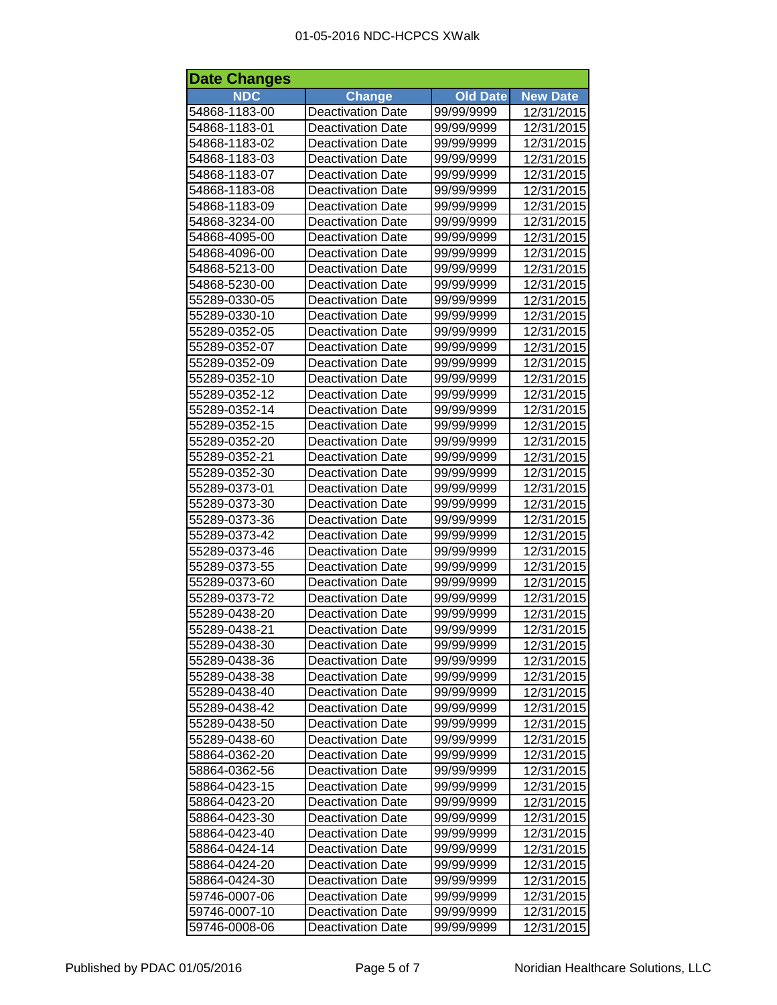| <b>Date Changes</b> |                          |                 |                 |  |
|---------------------|--------------------------|-----------------|-----------------|--|
| <b>NDC</b>          | <b>Change</b>            | <b>Old Date</b> | <b>New Date</b> |  |
| 54868-1183-00       | Deactivation Date        | 99/99/9999      | 12/31/2015      |  |
| 54868-1183-01       | <b>Deactivation Date</b> | 99/99/9999      | 12/31/2015      |  |
| 54868-1183-02       | <b>Deactivation Date</b> | 99/99/9999      | 12/31/2015      |  |
| 54868-1183-03       | <b>Deactivation Date</b> | 99/99/9999      | 12/31/2015      |  |
| 54868-1183-07       | <b>Deactivation Date</b> | 99/99/9999      | 12/31/2015      |  |
| 54868-1183-08       | <b>Deactivation Date</b> | 99/99/9999      | 12/31/2015      |  |
| 54868-1183-09       | <b>Deactivation Date</b> | 99/99/9999      | 12/31/2015      |  |
| 54868-3234-00       | <b>Deactivation Date</b> | 99/99/9999      | 12/31/2015      |  |
| 54868-4095-00       | <b>Deactivation Date</b> | 99/99/9999      | 12/31/2015      |  |
| 54868-4096-00       | <b>Deactivation Date</b> | 99/99/9999      | 12/31/2015      |  |
| 54868-5213-00       | <b>Deactivation Date</b> | 99/99/9999      | 12/31/2015      |  |
| 54868-5230-00       | <b>Deactivation Date</b> | 99/99/9999      | 12/31/2015      |  |
| 55289-0330-05       | <b>Deactivation Date</b> | 99/99/9999      | 12/31/2015      |  |
| 55289-0330-10       | <b>Deactivation Date</b> | 99/99/9999      | 12/31/2015      |  |
| 55289-0352-05       | <b>Deactivation Date</b> | 99/99/9999      | 12/31/2015      |  |
| 55289-0352-07       | <b>Deactivation Date</b> | 99/99/9999      | 12/31/2015      |  |
| 55289-0352-09       | <b>Deactivation Date</b> | 99/99/9999      | 12/31/2015      |  |
| 55289-0352-10       | <b>Deactivation Date</b> | 99/99/9999      | 12/31/2015      |  |
| 55289-0352-12       | <b>Deactivation Date</b> | 99/99/9999      | 12/31/2015      |  |
| 55289-0352-14       | <b>Deactivation Date</b> | 99/99/9999      | 12/31/2015      |  |
| 55289-0352-15       | <b>Deactivation Date</b> | 99/99/9999      | 12/31/2015      |  |
| 55289-0352-20       | <b>Deactivation Date</b> | 99/99/9999      | 12/31/2015      |  |
| 55289-0352-21       | <b>Deactivation Date</b> | 99/99/9999      | 12/31/2015      |  |
| 55289-0352-30       | <b>Deactivation Date</b> | 99/99/9999      | 12/31/2015      |  |
| 55289-0373-01       | <b>Deactivation Date</b> | 99/99/9999      | 12/31/2015      |  |
| 55289-0373-30       | <b>Deactivation Date</b> | 99/99/9999      | 12/31/2015      |  |
| 55289-0373-36       | <b>Deactivation Date</b> | 99/99/9999      | 12/31/2015      |  |
| 55289-0373-42       | <b>Deactivation Date</b> | 99/99/9999      | 12/31/2015      |  |
| 55289-0373-46       | Deactivation Date        | 99/99/9999      | 12/31/2015      |  |
| 55289-0373-55       | <b>Deactivation Date</b> | 99/99/9999      | 12/31/2015      |  |
| 55289-0373-60       | <b>Deactivation Date</b> | 99/99/9999      | 12/31/2015      |  |
| 55289-0373-72       | <b>Deactivation Date</b> | 99/99/9999      | 12/31/2015      |  |
| 55289-0438-20       | <b>Deactivation Date</b> | 99/99/9999      | 12/31/2015      |  |
| 55289-0438-21       | <b>Deactivation Date</b> | 99/99/9999      | 12/31/2015      |  |
| 55289-0438-30       | <b>Deactivation Date</b> | 99/99/9999      | 12/31/2015      |  |
| 55289-0438-36       | <b>Deactivation Date</b> | 99/99/9999      | 12/31/2015      |  |
| 55289-0438-38       | <b>Deactivation Date</b> | 99/99/9999      | 12/31/2015      |  |
| 55289-0438-40       | <b>Deactivation Date</b> | 99/99/9999      | 12/31/2015      |  |
| 55289-0438-42       | <b>Deactivation Date</b> | 99/99/9999      | 12/31/2015      |  |
| 55289-0438-50       | <b>Deactivation Date</b> | 99/99/9999      | 12/31/2015      |  |
| 55289-0438-60       | <b>Deactivation Date</b> | 99/99/9999      | 12/31/2015      |  |
| 58864-0362-20       | <b>Deactivation Date</b> | 99/99/9999      | 12/31/2015      |  |
| 58864-0362-56       | <b>Deactivation Date</b> | 99/99/9999      | 12/31/2015      |  |
| 58864-0423-15       | <b>Deactivation Date</b> | 99/99/9999      | 12/31/2015      |  |
| 58864-0423-20       | <b>Deactivation Date</b> | 99/99/9999      | 12/31/2015      |  |
| 58864-0423-30       | <b>Deactivation Date</b> | 99/99/9999      | 12/31/2015      |  |
| 58864-0423-40       | <b>Deactivation Date</b> | 99/99/9999      | 12/31/2015      |  |
| 58864-0424-14       | <b>Deactivation Date</b> | 99/99/9999      | 12/31/2015      |  |
| 58864-0424-20       | <b>Deactivation Date</b> | 99/99/9999      | 12/31/2015      |  |
| 58864-0424-30       | <b>Deactivation Date</b> | 99/99/9999      | 12/31/2015      |  |
| 59746-0007-06       | <b>Deactivation Date</b> | 99/99/9999      | 12/31/2015      |  |
| 59746-0007-10       | <b>Deactivation Date</b> | 99/99/9999      | 12/31/2015      |  |
| 59746-0008-06       | <b>Deactivation Date</b> | 99/99/9999      | 12/31/2015      |  |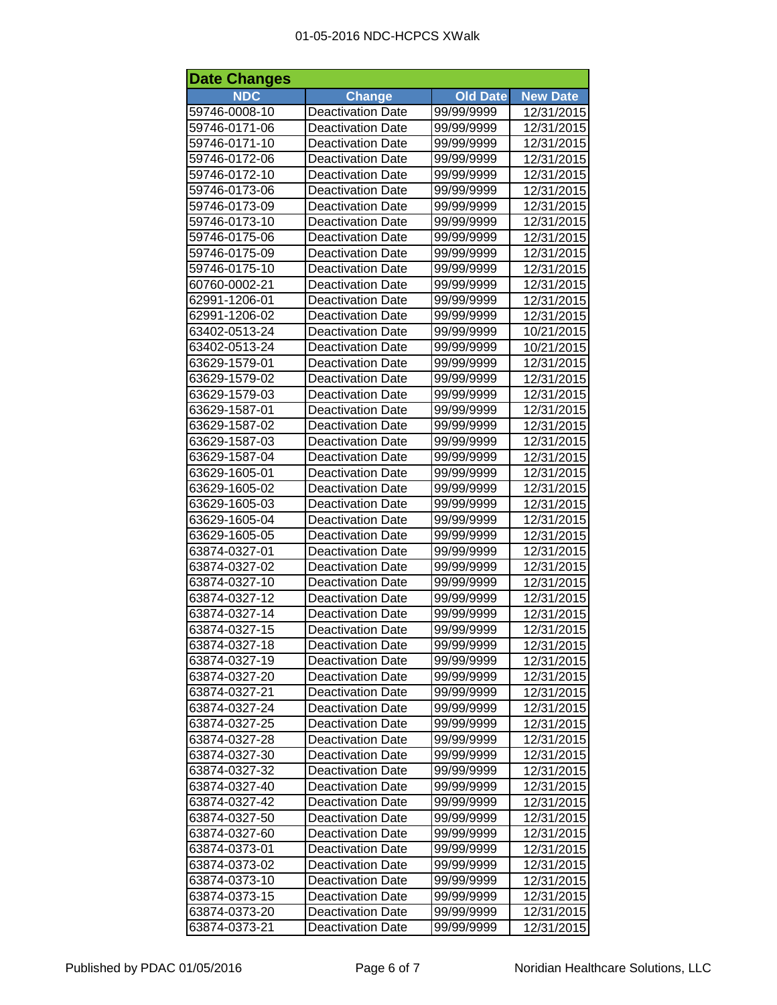| <b>Date Changes</b> |                          |                 |                 |  |
|---------------------|--------------------------|-----------------|-----------------|--|
| <b>NDC</b>          | <b>Change</b>            | <b>Old Date</b> | <b>New Date</b> |  |
| 59746-0008-10       | Deactivation Date        | 99/99/9999      | 12/31/2015      |  |
| 59746-0171-06       | <b>Deactivation Date</b> | 99/99/9999      | 12/31/2015      |  |
| 59746-0171-10       | <b>Deactivation Date</b> | 99/99/9999      | 12/31/2015      |  |
| 59746-0172-06       | <b>Deactivation Date</b> | 99/99/9999      | 12/31/2015      |  |
| 59746-0172-10       | <b>Deactivation Date</b> | 99/99/9999      | 12/31/2015      |  |
| 59746-0173-06       | <b>Deactivation Date</b> | 99/99/9999      | 12/31/2015      |  |
| 59746-0173-09       | <b>Deactivation Date</b> | 99/99/9999      | 12/31/2015      |  |
| 59746-0173-10       | <b>Deactivation Date</b> | 99/99/9999      | 12/31/2015      |  |
| 59746-0175-06       | <b>Deactivation Date</b> | 99/99/9999      | 12/31/2015      |  |
| 59746-0175-09       | <b>Deactivation Date</b> | 99/99/9999      | 12/31/2015      |  |
| 59746-0175-10       | <b>Deactivation Date</b> | 99/99/9999      | 12/31/2015      |  |
| 60760-0002-21       | <b>Deactivation Date</b> | 99/99/9999      | 12/31/2015      |  |
| 62991-1206-01       | <b>Deactivation Date</b> | 99/99/9999      | 12/31/2015      |  |
| 62991-1206-02       | <b>Deactivation Date</b> | 99/99/9999      | 12/31/2015      |  |
| 63402-0513-24       | <b>Deactivation Date</b> | 99/99/9999      | 10/21/2015      |  |
| 63402-0513-24       | <b>Deactivation Date</b> | 99/99/9999      | 10/21/2015      |  |
| 63629-1579-01       | <b>Deactivation Date</b> | 99/99/9999      | 12/31/2015      |  |
| 63629-1579-02       | <b>Deactivation Date</b> | 99/99/9999      | 12/31/2015      |  |
| 63629-1579-03       | <b>Deactivation Date</b> | 99/99/9999      | 12/31/2015      |  |
| 63629-1587-01       | <b>Deactivation Date</b> | 99/99/9999      | 12/31/2015      |  |
| 63629-1587-02       | <b>Deactivation Date</b> | 99/99/9999      | 12/31/2015      |  |
| 63629-1587-03       | <b>Deactivation Date</b> | 99/99/9999      | 12/31/2015      |  |
| 63629-1587-04       | <b>Deactivation Date</b> | 99/99/9999      | 12/31/2015      |  |
| 63629-1605-01       | <b>Deactivation Date</b> | 99/99/9999      | 12/31/2015      |  |
| 63629-1605-02       | <b>Deactivation Date</b> | 99/99/9999      | 12/31/2015      |  |
| 63629-1605-03       | <b>Deactivation Date</b> | 99/99/9999      | 12/31/2015      |  |
| 63629-1605-04       | <b>Deactivation Date</b> | 99/99/9999      | 12/31/2015      |  |
| 63629-1605-05       | <b>Deactivation Date</b> | 99/99/9999      | 12/31/2015      |  |
| 63874-0327-01       | Deactivation Date        | 99/99/9999      | 12/31/2015      |  |
| 63874-0327-02       | <b>Deactivation Date</b> | 99/99/9999      | 12/31/2015      |  |
| 63874-0327-10       | <b>Deactivation Date</b> | 99/99/9999      | 12/31/2015      |  |
| 63874-0327-12       | <b>Deactivation Date</b> | 99/99/9999      | 12/31/2015      |  |
| 63874-0327-14       | <b>Deactivation Date</b> | 99/99/9999      | 12/31/2015      |  |
| 63874-0327-15       | <b>Deactivation Date</b> | 99/99/9999      | 12/31/2015      |  |
| 63874-0327-18       | <b>Deactivation Date</b> | 99/99/9999      | 12/31/2015      |  |
| 63874-0327-19       | <b>Deactivation Date</b> | 99/99/9999      | 12/31/2015      |  |
| 63874-0327-20       | <b>Deactivation Date</b> | 99/99/9999      | 12/31/2015      |  |
| 63874-0327-21       | <b>Deactivation Date</b> | 99/99/9999      | 12/31/2015      |  |
| 63874-0327-24       | <b>Deactivation Date</b> | 99/99/9999      | 12/31/2015      |  |
| 63874-0327-25       | <b>Deactivation Date</b> | 99/99/9999      | 12/31/2015      |  |
| 63874-0327-28       | <b>Deactivation Date</b> | 99/99/9999      | 12/31/2015      |  |
| 63874-0327-30       | <b>Deactivation Date</b> | 99/99/9999      | 12/31/2015      |  |
| 63874-0327-32       | <b>Deactivation Date</b> | 99/99/9999      | 12/31/2015      |  |
| 63874-0327-40       | <b>Deactivation Date</b> | 99/99/9999      | 12/31/2015      |  |
| 63874-0327-42       | <b>Deactivation Date</b> | 99/99/9999      | 12/31/2015      |  |
| 63874-0327-50       | <b>Deactivation Date</b> | 99/99/9999      | 12/31/2015      |  |
| 63874-0327-60       | <b>Deactivation Date</b> | 99/99/9999      | 12/31/2015      |  |
| 63874-0373-01       | <b>Deactivation Date</b> | 99/99/9999      | 12/31/2015      |  |
| 63874-0373-02       | <b>Deactivation Date</b> | 99/99/9999      | 12/31/2015      |  |
| 63874-0373-10       | <b>Deactivation Date</b> | 99/99/9999      | 12/31/2015      |  |
| 63874-0373-15       | <b>Deactivation Date</b> | 99/99/9999      | 12/31/2015      |  |
| 63874-0373-20       | <b>Deactivation Date</b> | 99/99/9999      | 12/31/2015      |  |
| 63874-0373-21       | <b>Deactivation Date</b> | 99/99/9999      | 12/31/2015      |  |